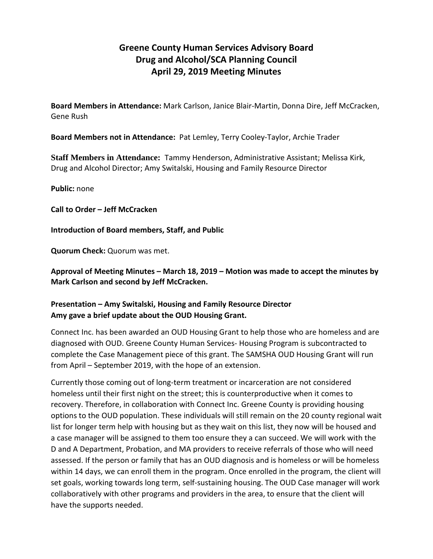# **Greene County Human Services Advisory Board Drug and Alcohol/SCA Planning Council April 29, 2019 Meeting Minutes**

**Board Members in Attendance:** Mark Carlson, Janice Blair-Martin, Donna Dire, Jeff McCracken, Gene Rush

**Board Members not in Attendance:** Pat Lemley, Terry Cooley-Taylor, Archie Trader

**Staff Members in Attendance:** Tammy Henderson, Administrative Assistant; Melissa Kirk, Drug and Alcohol Director; Amy Switalski, Housing and Family Resource Director

**Public:** none

**Call to Order – Jeff McCracken**

**Introduction of Board members, Staff, and Public**

**Quorum Check:** Quorum was met.

**Approval of Meeting Minutes – March 18, 2019 – Motion was made to accept the minutes by Mark Carlson and second by Jeff McCracken.**

# **Presentation – Amy Switalski, Housing and Family Resource Director Amy gave a brief update about the OUD Housing Grant.**

Connect Inc. has been awarded an OUD Housing Grant to help those who are homeless and are diagnosed with OUD. Greene County Human Services- Housing Program is subcontracted to complete the Case Management piece of this grant. The SAMSHA OUD Housing Grant will run from April – September 2019, with the hope of an extension.

Currently those coming out of long-term treatment or incarceration are not considered homeless until their first night on the street; this is counterproductive when it comes to recovery. Therefore, in collaboration with Connect Inc. Greene County is providing housing options to the OUD population. These individuals will still remain on the 20 county regional wait list for longer term help with housing but as they wait on this list, they now will be housed and a case manager will be assigned to them too ensure they a can succeed. We will work with the D and A Department, Probation, and MA providers to receive referrals of those who will need assessed. If the person or family that has an OUD diagnosis and is homeless or will be homeless within 14 days, we can enroll them in the program. Once enrolled in the program, the client will set goals, working towards long term, self-sustaining housing. The OUD Case manager will work collaboratively with other programs and providers in the area, to ensure that the client will have the supports needed.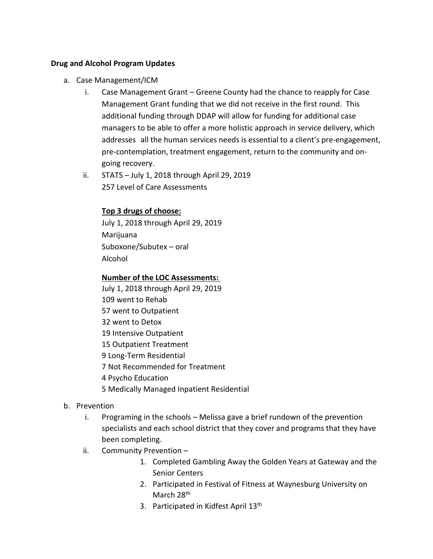## **Drug and Alcohol Program Updates**

- a. Case Management/ICM
	- i. Case Management Grant Greene County had the chance to reapply for Case Management Grant funding that we did not receive in the first round. This additional funding through DDAP will allow for funding for additional case managers to be able to offer a more holistic approach in service delivery, which addresses all the human services needs is essential to a client's pre-engagement, pre-contemplation, treatment engagement, return to the community and ongoing recovery.
	- ii. STATS July 1, 2018 through April 29, 2019 257 Level of Care Assessments

## **Top 3 drugs of choose:**

July 1, 2018 through April 29, 2019 Marijuana Suboxone/Subutex – oral Alcohol

# **Number of the LOC Assessments:**

- July 1, 2018 through April 29, 2019
- 109 went to Rehab
- 57 went to Outpatient
- 32 went to Detox
- 19 Intensive Outpatient
- 15 Outpatient Treatment
- 9 Long-Term Residential
- 7 Not Recommended for Treatment
- 4 Psycho Education
- 5 Medically Managed Inpatient Residential
- b. Prevention
	- i. Programing in the schools Melissa gave a brief rundown of the prevention specialists and each school district that they cover and programs that they have been completing.
	- ii. Community Prevention
		- 1. Completed Gambling Away the Golden Years at Gateway and the Senior Centers
		- 2. Participated in Festival of Fitness at Waynesburg University on March 28<sup>th</sup>
		- 3. Participated in Kidfest April 13<sup>th</sup>